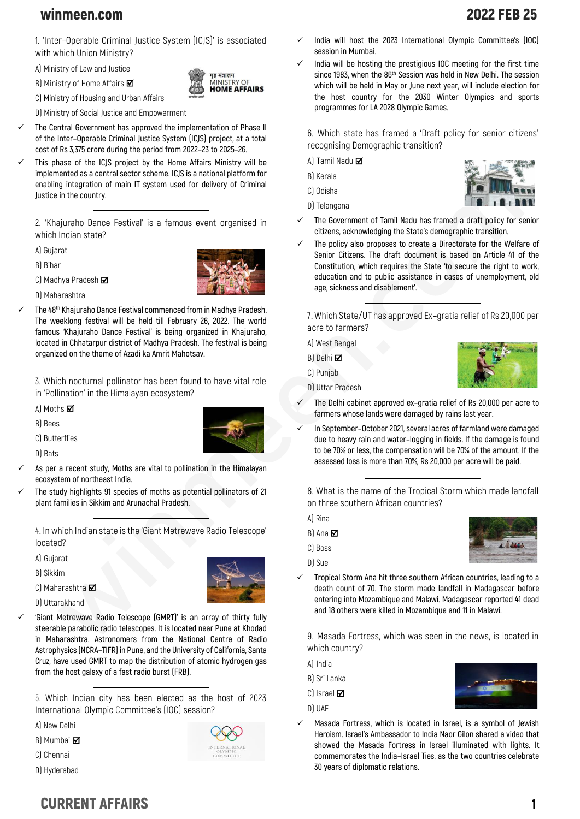## winmeen.com 2022 FEB 25

**1. 'Inter–Operable Criminal Justice System (ICJS)' is associated with which Union Ministry?**

**A) Ministry of Law and Justice**

**B) Ministry of Home Affairs** 

**C) Ministry of Housing and Urban Affairs**

**D) Ministry of Social Justice and Empowerment**

- The Central Government has approved the implementation of Phase II **of the Inter–Operable Criminal Justice System (ICJS) project, at a total cost of Rs 3,375 crore during the period from 2022–23 to 2025–26.**
- ✓ **This phase of the ICJS project by the Home Affairs Ministry will be implemented as a central sector scheme. ICJS is a national platform for enabling integration of main IT system used for delivery of Criminal Justice in the country.**

**2. 'Khajuraho Dance Festival' is a famous event organised in which Indian state?**

**A) Gujarat**

**B) Bihar**

**C) Madhya Pradesh** 



गह मंत्रालय **NISTRY OF HOME AFFAIRS** 

**D) Maharashtra**

✓ **The 48th Khajuraho Dance Festival commenced from in Madhya Pradesh. The weeklong festival will be held till February 26, 2022. The world famous 'Khajuraho Dance Festival' is being organized in Khajuraho, located in Chhatarpur district of Madhya Pradesh. The festival is being organized on the theme of Azadi ka Amrit Mahotsav.**

**3. Which nocturnal pollinator has been found to have vital role in 'Pollination' in the Himalayan ecosystem?**

**A) Moths**

**B) Bees**

**C) Butterflies**



**D) Bats**

- As per a recent study, Moths are vital to pollination in the Himalayan **ecosystem of northeast India.**
- The study highlights 91 species of moths as potential pollinators of 21 **plant families in Sikkim and Arunachal Pradesh.**

**4. In which Indian state is the 'Giant Metrewave Radio Telescope' located?**

**A) Gujarat**

**B) Sikkim**

**C) Maharashtra** 

**D) Uttarakhand**

✓ **'Giant Metrewave Radio Telescope (GMRT)' is an array of thirty fully steerable parabolic radio telescopes. It is located near Pune at Khodad in Maharashtra. Astronomers from the National Centre of Radio Astrophysics (NCRA–TIFR) in Pune, and the University of California, Santa Cruz, have used GMRT to map the distribution of atomic hydrogen gas from the host galaxy of a fast radio burst (FRB).**

**5. Which Indian city has been elected as the host of 2023 International Olympic Committee's (IOC) session?**

**A) New Delhi**

**B) Mumbai**

- **C) Chennai**
- **D) Hyderabad**



- ✓ **India will host the 2023 International Olympic Committee's (IOC) session in Mumbai.**
- ✓ **India will be hosting the prestigious IOC meeting for the first time since 1983, when the 86th Session was held in New Delhi. The session which will be held in May or June next year, will include election for the host country for the 2030 Winter Olympics and sports programmes for LA 2028 Olympic Games.**

**6. Which state has framed a 'Draft policy for senior citizens' recognising Demographic transition?**

**A) Tamil Nadu** 

- **B) Kerala**
- **C) Odisha**





- ✓ **The Government of Tamil Nadu has framed a draft policy for senior citizens, acknowledging the State's demographic transition.**
- ✓ **The policy also proposes to create a Directorate for the Welfare of Senior Citizens. The draft document is based on Article 41 of the Constitution, which requires the State 'to secure the right to work, education and to public assistance in cases of unemployment, old age, sickness and disablement'.**

**7. Which State/UT has approved Ex–gratia relief of Rs 20,000 per acre to farmers?**

**A) West Bengal**

**D) Uttar Pradesh**

**B) Delhi** 

**C) Punjab**



- ✓ **The Delhi cabinet approved ex–gratia relief of Rs 20,000 per acre to farmers whose lands were damaged by rains last year.**
- ✓ **In September–October 2021, several acres of farmland were damaged due to heavy rain and water–logging in fields. If the damage is found to be 70% or less, the compensation will be 70% of the amount. If the assessed loss is more than 70%, Rs 20,000 per acre will be paid.**

**8. What is the name of the Tropical Storm which made landfall on three southern African countries?**

**A) Rina**

 $B$ <sup> $A$ na  $\overline{M}$ </sup>

**C) Boss**

- **D) Sue**
- ✓ **Tropical Storm Ana hit three southern African countries, leading to a death count of 70. The storm made landfall in Madagascar before entering into Mozambique and Malawi. Madagascar reported 41 dead and 18 others were killed in Mozambique and 11 in Malawi.**

**9. Masada Fortress, which was seen in the news, is located in which country?**

- **A) India**
- **B) Sri Lanka**

**C) Israel** 

**D) UAE**

✓ **Masada Fortress, which is located in Israel, is a symbol of Jewish Heroism. Israel's Ambassador to India Naor Gilon shared a video that showed the Masada Fortress in Israel illuminated with lights. It commemorates the India–Israel Ties, as the two countries celebrate 30 years of diplomatic relations.**